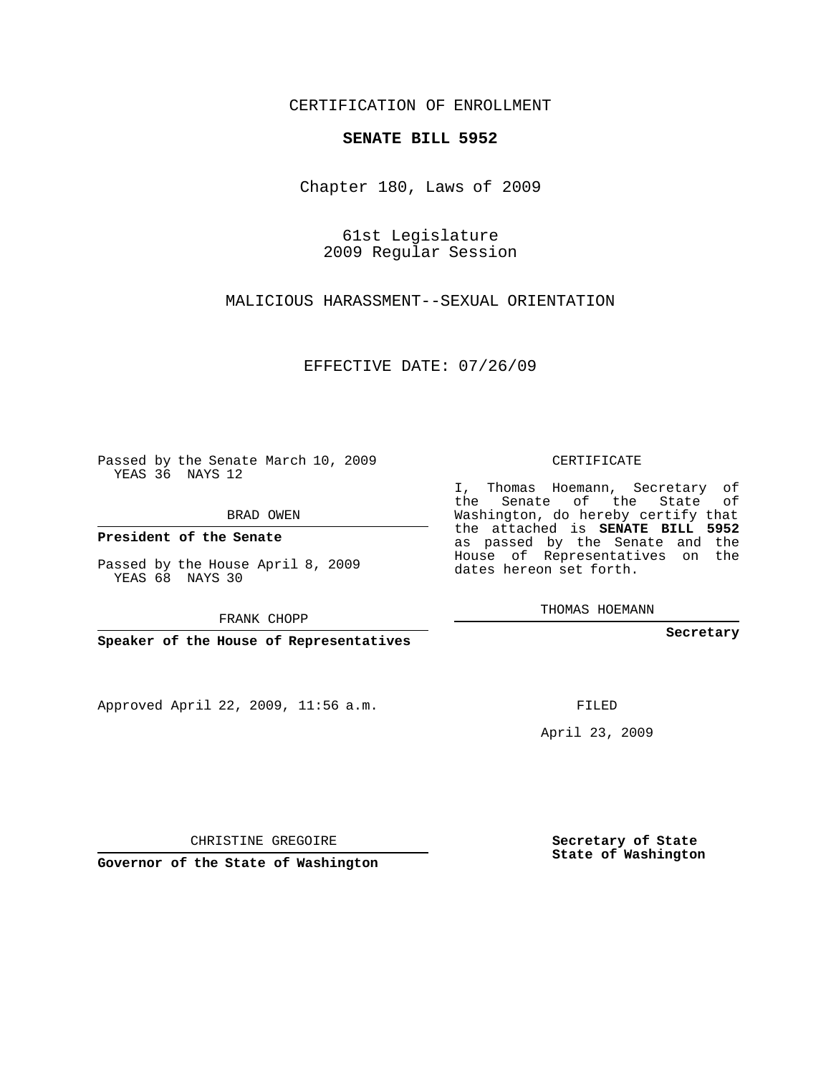## CERTIFICATION OF ENROLLMENT

## **SENATE BILL 5952**

Chapter 180, Laws of 2009

61st Legislature 2009 Regular Session

MALICIOUS HARASSMENT--SEXUAL ORIENTATION

EFFECTIVE DATE: 07/26/09

Passed by the Senate March 10, 2009 YEAS 36 NAYS 12

BRAD OWEN

**President of the Senate**

Passed by the House April 8, 2009 YEAS 68 NAYS 30

FRANK CHOPP

**Speaker of the House of Representatives**

Approved April 22, 2009, 11:56 a.m.

CERTIFICATE

I, Thomas Hoemann, Secretary of the Senate of the State of Washington, do hereby certify that the attached is **SENATE BILL 5952** as passed by the Senate and the House of Representatives on the dates hereon set forth.

THOMAS HOEMANN

**Secretary**

FILED

April 23, 2009

**Secretary of State State of Washington**

CHRISTINE GREGOIRE

**Governor of the State of Washington**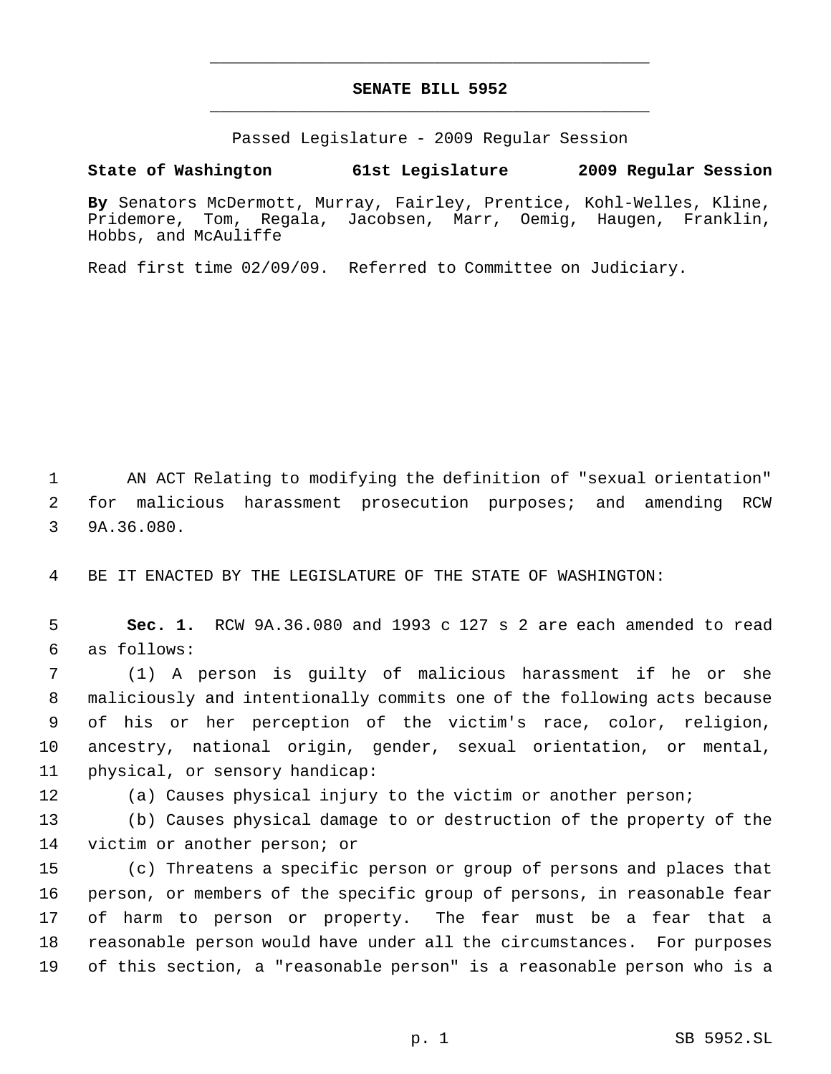## **SENATE BILL 5952** \_\_\_\_\_\_\_\_\_\_\_\_\_\_\_\_\_\_\_\_\_\_\_\_\_\_\_\_\_\_\_\_\_\_\_\_\_\_\_\_\_\_\_\_\_

\_\_\_\_\_\_\_\_\_\_\_\_\_\_\_\_\_\_\_\_\_\_\_\_\_\_\_\_\_\_\_\_\_\_\_\_\_\_\_\_\_\_\_\_\_

Passed Legislature - 2009 Regular Session

**State of Washington 61st Legislature 2009 Regular Session**

**By** Senators McDermott, Murray, Fairley, Prentice, Kohl-Welles, Kline, Pridemore, Tom, Regala, Jacobsen, Marr, Oemig, Haugen, Franklin, Hobbs, and McAuliffe

Read first time 02/09/09. Referred to Committee on Judiciary.

 AN ACT Relating to modifying the definition of "sexual orientation" for malicious harassment prosecution purposes; and amending RCW 9A.36.080.

BE IT ENACTED BY THE LEGISLATURE OF THE STATE OF WASHINGTON:

 **Sec. 1.** RCW 9A.36.080 and 1993 c 127 s 2 are each amended to read as follows:

 (1) A person is guilty of malicious harassment if he or she maliciously and intentionally commits one of the following acts because of his or her perception of the victim's race, color, religion, ancestry, national origin, gender, sexual orientation, or mental, physical, or sensory handicap:

(a) Causes physical injury to the victim or another person;

 (b) Causes physical damage to or destruction of the property of the victim or another person; or

 (c) Threatens a specific person or group of persons and places that person, or members of the specific group of persons, in reasonable fear of harm to person or property. The fear must be a fear that a reasonable person would have under all the circumstances. For purposes of this section, a "reasonable person" is a reasonable person who is a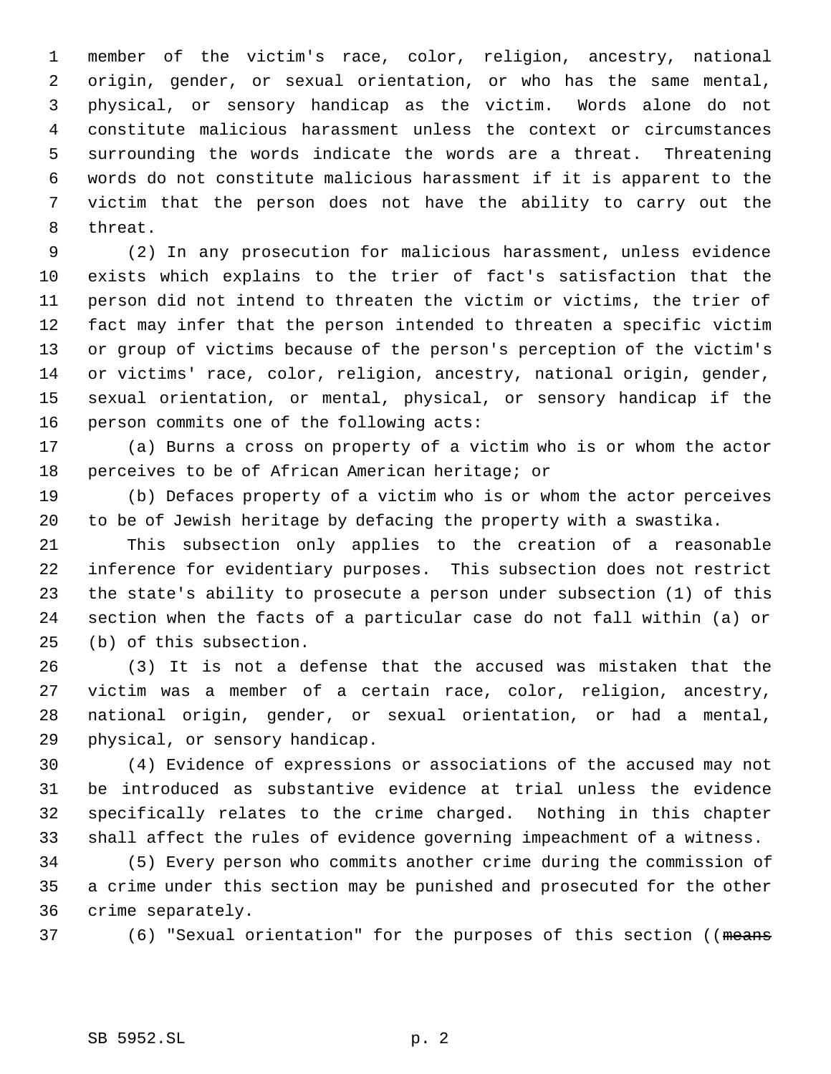member of the victim's race, color, religion, ancestry, national origin, gender, or sexual orientation, or who has the same mental, physical, or sensory handicap as the victim. Words alone do not constitute malicious harassment unless the context or circumstances surrounding the words indicate the words are a threat. Threatening words do not constitute malicious harassment if it is apparent to the victim that the person does not have the ability to carry out the threat.

 (2) In any prosecution for malicious harassment, unless evidence exists which explains to the trier of fact's satisfaction that the person did not intend to threaten the victim or victims, the trier of fact may infer that the person intended to threaten a specific victim or group of victims because of the person's perception of the victim's or victims' race, color, religion, ancestry, national origin, gender, sexual orientation, or mental, physical, or sensory handicap if the person commits one of the following acts:

 (a) Burns a cross on property of a victim who is or whom the actor perceives to be of African American heritage; or

 (b) Defaces property of a victim who is or whom the actor perceives to be of Jewish heritage by defacing the property with a swastika.

 This subsection only applies to the creation of a reasonable inference for evidentiary purposes. This subsection does not restrict the state's ability to prosecute a person under subsection (1) of this section when the facts of a particular case do not fall within (a) or (b) of this subsection.

 (3) It is not a defense that the accused was mistaken that the victim was a member of a certain race, color, religion, ancestry, national origin, gender, or sexual orientation, or had a mental, physical, or sensory handicap.

 (4) Evidence of expressions or associations of the accused may not be introduced as substantive evidence at trial unless the evidence specifically relates to the crime charged. Nothing in this chapter shall affect the rules of evidence governing impeachment of a witness.

 (5) Every person who commits another crime during the commission of a crime under this section may be punished and prosecuted for the other crime separately.

(6) "Sexual orientation" for the purposes of this section ((means